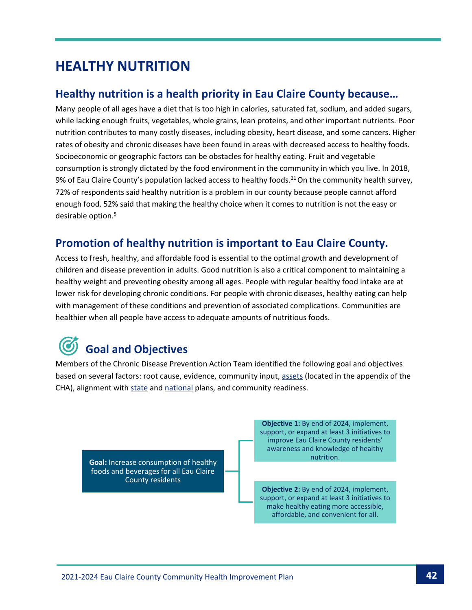### **HEALTHY NUTRITION**

#### **Healthy nutrition is a health priority in Eau Claire County because…**

Many people of all ages have a diet that is too high in calories, saturated fat, sodium, and added sugars, while lacking enough fruits, vegetables, whole grains, lean proteins, and other important nutrients. Poor nutrition contributes to many costly diseases, including obesity, heart disease, and some cancers. Higher rates of obesity and chronic diseases have been found in areas with decreased access to healthy foods. Socioeconomic or geographic factors can be obstacles for healthy eating. Fruit and vegetable consumption is strongly dictated by the food environment in the community in which you live. In 2018, 9% of Eau Claire County's population lacked access to healthy foods.<sup>21</sup> On the community health survey, 72% of respondents said healthy nutrition is a problem in our county because people cannot afford enough food. 52% said that making the healthy choice when it comes to nutrition is not the easy or desirable option.<sup>5</sup>

#### **Promotion of healthy nutrition is important to Eau Claire County.**

Access to fresh, healthy, and affordable food is essential to the optimal growth and development of children and disease prevention in adults. Good nutrition is also a critical component to maintaining a healthy weight and preventing obesity among all ages. People with regular healthy food intake are at lower risk for developing chronic conditions. For people with chronic diseases, healthy eating can help with management of these conditions and prevention of associated complications. Communities are healthier when all people have access to adequate amounts of nutritious foods.

# **Goal and Objectives**

Members of the Chronic Disease Prevention Action Team identified the following goal and objectives based on several factors: root cause, evidence, community input[, assets](https://www.eauclairewi.gov/home/showpublisheddocument/25104/637558200633100000) (located in the appendix of the CHA), alignment wit[h state](https://www.dhs.wisconsin.gov/hw2020/index.htm) an[d national](https://health.gov/healthypeople) plans, and community readiness.

**Goal:** Increase consumption of healthy foods and beverages for all Eau Claire County residents

**Objective 1:** By end of 2024, implement, support, or expand at least 3 initiatives to improve Eau Claire County residents' awareness and knowledge of healthy nutrition.

**Objective 2:** By end of 2024, implement, support, or expand at least 3 initiatives to make healthy eating more accessible, affordable, and convenient for all.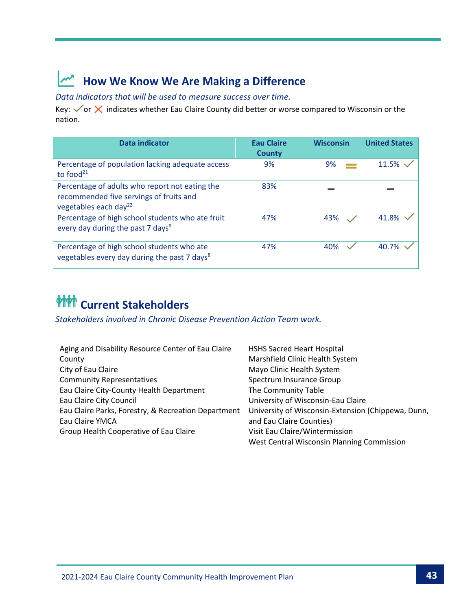## **How We Know We Are Making a Difference**

*Data indicators that will be used to measure success over time.*

Key:  $\sqrt{or}$  X indicates whether Eau Claire County did better or worse compared to Wisconsin or the nation.

| Data indicator                                                                                                                 | <b>Eau Claire</b><br><b>County</b> | <b>Wisconsin</b> | <b>United States</b> |
|--------------------------------------------------------------------------------------------------------------------------------|------------------------------------|------------------|----------------------|
| Percentage of population lacking adequate access<br>to food $21$                                                               | 9%                                 | 9%               | 11.5%                |
| Percentage of adults who report not eating the<br>recommended five servings of fruits and<br>vegetables each day <sup>22</sup> | 83%                                |                  |                      |
| Percentage of high school students who ate fruit<br>every day during the past 7 days <sup>8</sup>                              | 47%                                | 43%              | 41.8%                |
| Percentage of high school students who ate<br>vegetables every day during the past 7 days <sup>8</sup>                         | 47%                                | 40%              | 40.7%                |

# *MM* Current Stakeholders

*Stakeholders involved in Chronic Disease Prevention Action Team work.*

| Aging and Disability Resource Center of Eau Claire  | <b>HSHS Sacred Heart Hospital</b>                  |
|-----------------------------------------------------|----------------------------------------------------|
| County                                              | Marshfield Clinic Health System                    |
| City of Eau Claire                                  | Mayo Clinic Health System                          |
| <b>Community Representatives</b>                    | Spectrum Insurance Group                           |
| Eau Claire City-County Health Department            | The Community Table                                |
| Eau Claire City Council                             | University of Wisconsin-Eau Claire                 |
| Eau Claire Parks, Forestry, & Recreation Department | University of Wisconsin-Extension (Chippewa, Dunn, |
| Eau Claire YMCA                                     | and Eau Claire Counties)                           |
| Group Health Cooperative of Eau Claire              | Visit Eau Claire/Wintermission                     |
|                                                     | West Central Wisconsin Planning Commission         |